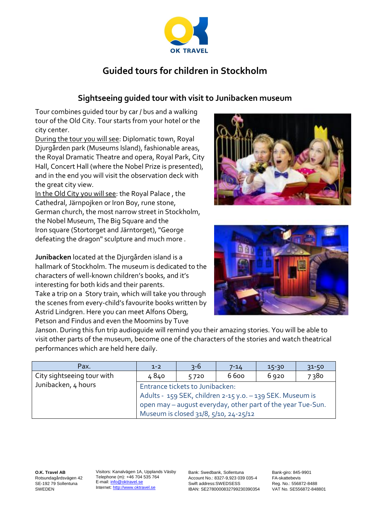

# **Guided tours for children in Stockholm**

## **Sightseeing guided tour with visit to Junibacken museum**

Tour combines guided tour by car / bus and a walking tour of the Old City. Tour starts from your hotel or the city center.

During the tour you will see: Diplomatic town, Royal Djurgården park (Museums Island), fashionable areas, the Royal Dramatic Theatre and opera, Royal Park, City Hall, Concert Hall (where the Nobel Prize is presented), and in the end you will visit the observation deck with the great city view.

In the Old City you will see: the Royal Palace , the Cathedral, Järnpojken or Iron Boy, rune stone, German church, the most narrow street in Stockholm, the Nobel Museum, The Big Square and the Iron square (Stortorget and Järntorget), "George defeating the dragon" sculpture and much more .

**Junibacken** located at the Djurgården island is a hallmark of Stockholm. The museum is dedicated to the characters of well-known children's books, and it's interesting for both kids and their parents. Take a trip on a Story train, which will take you through the scenes from every-child's favourite books written by Astrid Lindgren. Here you can meet Alfons Oberg, Petson and Findus and even the Moomins by Tuve





Janson. During this fun trip audioguide will remind you their amazing stories. You will be able to visit other parts of the museum, become one of the characters of the stories and watch theatrical performances which are held here daily.

| Pax.                       | $1 - 2$                                                                                                                  | $3 - 6$ | 7-14 | $15-30$ | $31 - 50$ |  |
|----------------------------|--------------------------------------------------------------------------------------------------------------------------|---------|------|---------|-----------|--|
| City sightseeing tour with | 4840                                                                                                                     | 5720    | 6600 | 6920    | 7380      |  |
| Junibacken, 4 hours        | Entrance tickets to Junibacken:                                                                                          |         |      |         |           |  |
|                            | Adults - 159 SEK, children 2-15 y.o. - 139 SEK. Museum is<br>open may - august everyday, other part of the year Tue-Sun. |         |      |         |           |  |
|                            |                                                                                                                          |         |      |         |           |  |
|                            | Museum is closed 31/8, 5/10, 24-25/12                                                                                    |         |      |         |           |  |

**O.K. Travel AB** Rotsundagårdsvägen 42 SE-192 79 Sollentuna SWEDEN

Visitors: Kanalvägen 1A, Upplands Väsby Telephone (m): +46 704 535 764 E-mail: info@oktravel.se Internet: [http://www.oktravel.se](http://www.oktravel.se/)

Bank: Swedbank, Sollentuna Account No.: 8327-9,923 039 035-4 Swift address:SWEDSESS IBAN: SE2780000832799230390354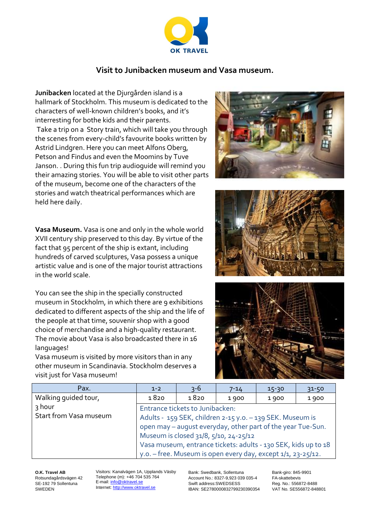

### **Visit to Junibacken museum and Vasa museum.**

**Junibacken** located at the Djurgården island is a hallmark of Stockholm. This museum is dedicated to the characters of well-known children's books, and it's interresting for bothe kids and their parents. Take a trip on a Story train, which will take you through the scenes from every-child's favourite books written by Astrid Lindgren. Here you can meet Alfons Oberg, Petson and Findus and even the Moomins by Tuve Janson. . During this fun trip audioguide will remind you their amazing stories. You will be able to visit other parts of the museum, become one of the characters of the stories and watch theatrical performances which are held here daily.

**Vasa Museum.** Vasa is one and only in the whole world XVII century ship preserved to this day. By virtue of the fact that 95 percent of the ship is extant, including hundreds of carved sculptures, Vasa possess a unique artistic value and is one of the major tourist attractions in the world scale.

You can see the ship in the specially constructed museum in Stockholm, in which there are 9 exhibitions dedicated to different aspects of the ship and the life of the people at that time, souvenir shop with a good choice of merchandise and a high-quality restaurant. The movie about Vasa is also broadcasted there in 16 languages!

Vasa museum is visited by more visitors than in any other museum in Scandinavia. Stockholm deserves a visit just for Vasa museum!







| Pax.                   | $1 - 2$                                                        | $3 - 6$ | $7 - 14$ | $15 - 30$ | $31 - 50$ |  |
|------------------------|----------------------------------------------------------------|---------|----------|-----------|-----------|--|
| Walking guided tour,   | 1820                                                           | 1820    | 1900     | 1900      | 1900      |  |
| ้ ? hour               | Entrance tickets to Junibacken:                                |         |          |           |           |  |
| Start from Vasa museum | Adults - 159 SEK, children 2-15 y.o. - 139 SEK. Museum is      |         |          |           |           |  |
|                        | open may - august everyday, other part of the year Tue-Sun.    |         |          |           |           |  |
|                        | Museum is closed 31/8, 5/10, 24-25/12                          |         |          |           |           |  |
|                        | Vasa museum, entrance tickets: adults - 130 SEK, kids up to 18 |         |          |           |           |  |
|                        | y.o. - free. Museum is open every day, except 1/1, 23-25/12.   |         |          |           |           |  |

**O.K. Travel AB** Rotsundagårdsvägen 42 SE-192 79 Sollentuna SWEDEN

Visitors: Kanalvägen 1A, Upplands Väsby Telephone (m): +46 704 535 764 E-mail: info@oktravel.se Internet: [http://www.oktravel.se](http://www.oktravel.se/)

Bank: Swedbank, Sollentuna Account No.: 8327-9,923 039 035-4 Swift address:SWEDSESS IBAN: SE2780000832799230390354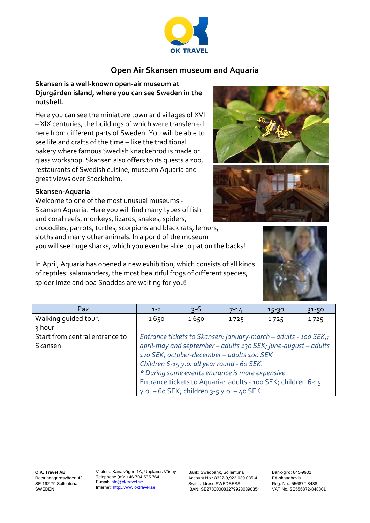

## **Open Air Skansen museum and Aquaria**

#### **Skansen is a well-known open-air museum at Djurgården island, where you can see Sweden in the nutshell.**

Here you can see the miniature town and villages of XVII – XIX centuries, the buildings of which were transferred here from different parts of Sweden. You will be able to see life and crafts of the time – like the traditional bakery where famous Swedish knackebröd is made or glass workshop. Skansen also offers to its guests a zoo, restaurants of Swedish cuisine, museum Aquaria and great views over Stockholm.

#### **Skansen-Aquaria**

Welcome to one of the most unusual museums - Skansen Aquaria. Here you will find many types of fish and coral reefs, monkeys, lizards, snakes, spiders,

crocodiles, parrots, turtles, scorpions and black rats, lemurs, sloths and many other animals. In a pond of the museum you will see huge sharks, which you even be able to pat on the backs!

In April, Aquaria has opened a new exhibition, which consists of all kinds of reptiles: salamanders, the most beautiful frogs of different species, spider Imze and boa Snoddas are waiting for you!

| Pax.                           | $1 - 2$                                                                                                                                                         | $3 - 6$                                     | $7 - 14$ | $15 - 30$ | $31 - 50$ |  |
|--------------------------------|-----------------------------------------------------------------------------------------------------------------------------------------------------------------|---------------------------------------------|----------|-----------|-----------|--|
| Walking guided tour,           | 1650                                                                                                                                                            | 1650                                        | 1725     | 1725      | 1725      |  |
| 3 hour                         |                                                                                                                                                                 |                                             |          |           |           |  |
| Start from central entrance to | Entrance tickets to Skansen: january-march - adults - 100 SEK,;                                                                                                 |                                             |          |           |           |  |
| Skansen                        | april-may and september - adults 130 SEK; june-august - adults                                                                                                  |                                             |          |           |           |  |
|                                | 170 SEK; october-december - adults 100 SEK                                                                                                                      |                                             |          |           |           |  |
|                                | Children 6-15 y.o. all year round - 60 SEK.<br>* During some events entrance is more expensive.<br>Entrance tickets to Aquaria: adults - 100 SEK; children 6-15 |                                             |          |           |           |  |
|                                |                                                                                                                                                                 |                                             |          |           |           |  |
|                                |                                                                                                                                                                 |                                             |          |           |           |  |
|                                |                                                                                                                                                                 | y.o. $-60$ SEK; children 3-5 y.o. $-40$ SEK |          |           |           |  |

**O.K. Travel AB** Rotsundagårdsvägen 42 SE-192 79 Sollentuna SWEDEN

Visitors: Kanalvägen 1A, Upplands Väsby Telephone (m): +46 704 535 764 E-mail: info@oktravel.se Internet: [http://www.oktravel.se](http://www.oktravel.se/)

Bank: Swedbank, Sollentuna Account No.: 8327-9,923 039 035-4 Swift address:SWEDSESS IBAN: SE2780000832799230390354





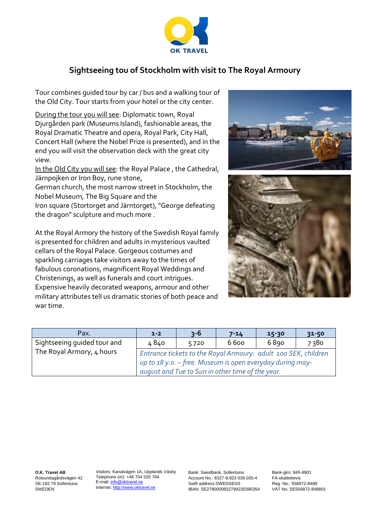

## **Sightseeing tou of Stockholm with visit to The Royal Armoury**

Tour combines guided tour by car / bus and a walking tour of the Old City. Tour starts from your hotel or the city center.

During the tour you will see: Diplomatic town, Royal Djurgården park (Museums Island), fashionable areas, the Royal Dramatic Theatre and opera, Royal Park, City Hall, Concert Hall (where the Nobel Prize is presented), and in the end you will visit the observation deck with the great city view.

In the Old City you will see: the Royal Palace , the Cathedral, Järnpojken or Iron Boy, rune stone,

German church, the most narrow street in Stockholm, the Nobel Museum, The Big Square and the

Iron square (Stortorget and Järntorget), "George defeating the dragon" sculpture and much more .

At the Royal Armory the history of the Swedish Royal family is presented for children and adults in mysterious vaulted cellars of the Royal Palace. Gorgeous costumes and sparkling carriages take visitors away to the times of fabulous coronations, magnificent Royal Weddings and Christenings, as well as funerals and court intrigues. Expensive heavily decorated weapons, armour and other military attributes tell us dramatic stories of both peace and war time.



| Pax.                        | $1 - 2$                                                        | $3 - 6$                                          | $7 - 14$ | $15 - 30$ | $31 - 50$ |  |
|-----------------------------|----------------------------------------------------------------|--------------------------------------------------|----------|-----------|-----------|--|
| Sightseeing guided tour and | 4840                                                           | 5720                                             | 6600     | 6890      | 7380      |  |
| The Royal Armory, 4 hours   | Entrance tickets to the Royal Armoury: adult 100 SEK, children |                                                  |          |           |           |  |
|                             | up to 18 y.o. - free. Museum is open everyday during may-      |                                                  |          |           |           |  |
|                             |                                                                | august and Tue to Sun in other time of the year. |          |           |           |  |

**O.K. Travel AB** Rotsundagårdsvägen 42 SE-192 79 Sollentuna SWEDEN

Visitors: Kanalvägen 1A, Upplands Väsby Telephone (m): +46 704 535 764 E-mail: info@oktravel.se Internet: [http://www.oktravel.se](http://www.oktravel.se/)

Bank: Swedbank, Sollentuna Account No.: 8327-9,923 039 035-4 Swift address:SWEDSESS IBAN: SE2780000832799230390354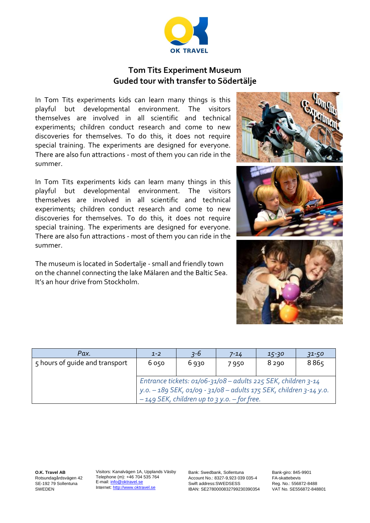

### **Tom Tits Experiment Museum Guded tour with transfer to Södertälje**

In Tom Tits experiments kids can learn many things is this playful but developmental environment. The visitors themselves are involved in all scientific and technical experiments; children conduct research and come to new discoveries for themselves. To do this, it does not require special training. The experiments are designed for everyone. There are also fun attractions - most of them you can ride in the summer.

In Tom Tits experiments kids can learn many things in this playful but developmental environment. The visitors themselves are involved in all scientific and technical experiments; children conduct research and come to new discoveries for themselves. To do this, it does not require special training. The experiments are designed for everyone. There are also fun attractions - most of them you can ride in the summer.

The museum is located in Sodertalje - small and friendly town on the channel connecting the lake Mälaren and the Baltic Sea. It's an hour drive from Stockholm.

|  | <b>STIMGHT</b> |
|--|----------------|
|  |                |
|  |                |

| Pax.                           | $1 - 2$                                                                                                                                                                                  | $3 - 6$ | 7-14 | $15 - 30$ | $31 - 50$ |  |
|--------------------------------|------------------------------------------------------------------------------------------------------------------------------------------------------------------------------------------|---------|------|-----------|-----------|--|
| 5 hours of quide and transport | 6050                                                                                                                                                                                     | 6 930   | 7950 | 8 2 9 0   | 8865      |  |
|                                | Entrance tickets: $01/06 - 31/08 -$ adults 225 SEK, children 3-14<br>y.o. - 189 SEK, 01/09 - 31/08 - adults 175 SEK, children 3-14 y.o.<br>$-149$ SEK, children up to 3 y.o. - for free. |         |      |           |           |  |

**O.K. Travel AB** Rotsundagårdsvägen 42 SE-192 79 Sollentuna SWEDEN

Visitors: Kanalvägen 1A, Upplands Väsby Telephone (m): +46 704 535 764 E-mail: info@oktravel.se Internet: [http://www.oktravel.se](http://www.oktravel.se/)

Bank: Swedbank, Sollentuna Account No.: 8327-9,923 039 035-4 Swift address:SWEDSESS IBAN: SE2780000832799230390354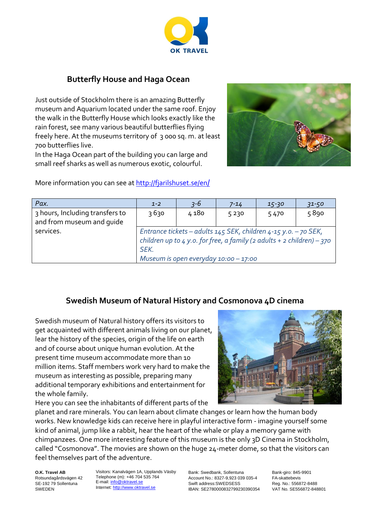

## **Butterfly House and Haga Ocean**

Just outside of Stockholm there is an amazing Butterfly museum and Aquarium located under the same roof. Enjoy the walk in the Butterfly House which looks exactly like the rain forest, see many various beautiful butterflies flying freely here. At the museums territory of 3 000 sq. m. at least 700 butterflies live.

In the Haga Ocean part of the building you can large and small reef sharks as well as numerous exotic, colourful.



| Pax.                                                         | $1 - 2$                                                                                                                                                                                            | $3 - 6$ | 7-14 | $15 - 30$ | $31 - 50$ |  |
|--------------------------------------------------------------|----------------------------------------------------------------------------------------------------------------------------------------------------------------------------------------------------|---------|------|-----------|-----------|--|
| 3 hours, Including transfers to<br>and from museum and quide | 3630                                                                                                                                                                                               | 4 180   | 5230 | 5470      | 5890      |  |
| services.                                                    | Entrance tickets - adults $145$ SEK, children $4-15$ y.o. - 70 SEK,<br>children up to $4$ y.o. for free, a family (2 adults + 2 children) - 370<br>SEK.<br>Museum is open everyday $10:00 - 17:00$ |         |      |           |           |  |

# **Swedish Museum of Natural History and Cosmonova 4D cinema**

Swedish museum of Natural history offers its visitors to get acquainted with different animals living on our planet, lear the history of the species, origin of the life on earth and of course about unique human evolution. At the present time museum accommodate more than 10 million items. Staff members work very hard to make the museum as interesting as possible, preparing many additional temporary exhibitions and entertainment for the whole family.

Here you can see the inhabitants of different parts of the



planet and rare minerals. You can learn about climate changes or learn how the human body works. New knowledge kids can receive here in playful interactive form - imagine yourself some kind of animal, jump like a rabbit, hear the heart of the whale or play a memory game with chimpanzees. One more interesting feature of this museum is the only 3D Cinema in Stockholm, called "Cosmonova". The movies are shown on the huge 24-meter dome, so that the visitors can feel themselves part of the adventure.

**O.K. Travel AB** Rotsundagårdsvägen 42 SE-192 79 Sollentuna SWEDEN

Visitors: Kanalvägen 1A, Upplands Väsby Telephone (m): +46 704 535 764 E-mail: [info@oktravel.se](mailto:info@oktravel.se)  Internet: [http://www.oktravel.se](http://www.oktravel.se/)

Bank: Swedbank, Sollentuna Account No.: 8327-9,923 039 035-4 Swift address:SWEDSESS IBAN: SE2780000832799230390354 Bank-giro: 845-9901 FA-skattebevis Reg. No.: 556872-8488 VAT No. SE556872-848801

More information you can see at [http://fjarilshuset.se/en](http://fjarilshuset.se/en/)/